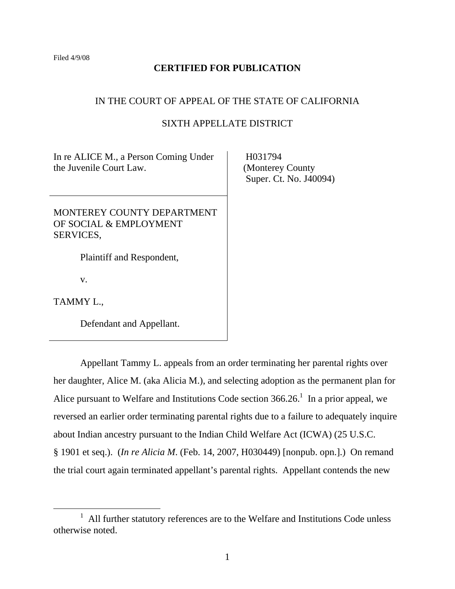## **CERTIFIED FOR PUBLICATION**

#### IN THE COURT OF APPEAL OF THE STATE OF CALIFORNIA

# SIXTH APPELLATE DISTRICT

In re ALICE M., a Person Coming Under the Juvenile Court Law.

MONTEREY COUNTY DEPARTMENT OF SOCIAL & EMPLOYMENT SERVICES,

Plaintiff and Respondent,

v.

TAMMY L.,

Defendant and Appellant.

 Appellant Tammy L. appeals from an order terminating her parental rights over her daughter, Alice M. (aka Alicia M.), and selecting adoption as the permanent plan for Alice pursuant to Welfare and Institutions Code section  $366.26$ <sup>1</sup>. In a prior appeal, we reversed an earlier order terminating parental rights due to a failure to adequately inquire about Indian ancestry pursuant to the Indian Child Welfare Act (ICWA) (25 U.S.C. § 1901 et seq.). (*In re Alicia M*. (Feb. 14, 2007, H030449) [nonpub. opn.].) On remand the trial court again terminated appellant's parental rights. Appellant contends the new

 H031794 (Monterey County Super. Ct. No. J40094)

 $\frac{1}{1}$  $1$  All further statutory references are to the Welfare and Institutions Code unless otherwise noted.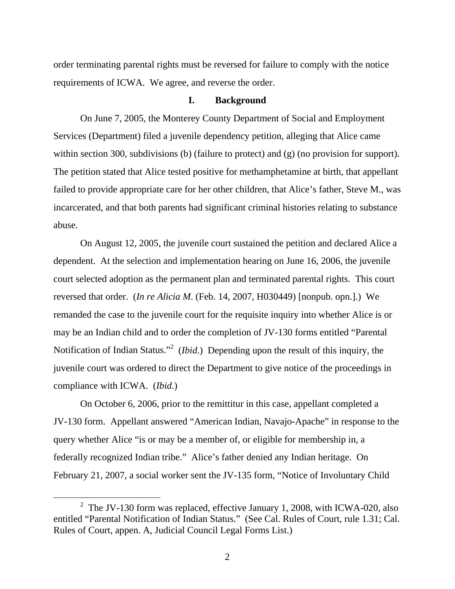order terminating parental rights must be reversed for failure to comply with the notice requirements of ICWA. We agree, and reverse the order.

## **I. Background**

On June 7, 2005, the Monterey County Department of Social and Employment Services (Department) filed a juvenile dependency petition, alleging that Alice came within section 300, subdivisions (b) (failure to protect) and (g) (no provision for support). The petition stated that Alice tested positive for methamphetamine at birth, that appellant failed to provide appropriate care for her other children, that Alice's father, Steve M., was incarcerated, and that both parents had significant criminal histories relating to substance abuse.

 On August 12, 2005, the juvenile court sustained the petition and declared Alice a dependent. At the selection and implementation hearing on June 16, 2006, the juvenile court selected adoption as the permanent plan and terminated parental rights. This court reversed that order. (*In re Alicia M*. (Feb. 14, 2007, H030449) [nonpub. opn.].) We remanded the case to the juvenile court for the requisite inquiry into whether Alice is or may be an Indian child and to order the completion of JV-130 forms entitled "Parental Notification of Indian Status."<sup>2</sup> (*Ibid*.) Depending upon the result of this inquiry, the juvenile court was ordered to direct the Department to give notice of the proceedings in compliance with ICWA. (*Ibid*.)

 On October 6, 2006, prior to the remittitur in this case, appellant completed a JV-130 form. Appellant answered "American Indian, Navajo-Apache" in response to the query whether Alice "is or may be a member of, or eligible for membership in, a federally recognized Indian tribe." Alice's father denied any Indian heritage. On February 21, 2007, a social worker sent the JV-135 form, "Notice of Involuntary Child

 $\frac{1}{2}$  $2$  The JV-130 form was replaced, effective January 1, 2008, with ICWA-020, also entitled "Parental Notification of Indian Status." (See Cal. Rules of Court, rule 1.31; Cal. Rules of Court, appen. A, Judicial Council Legal Forms List.)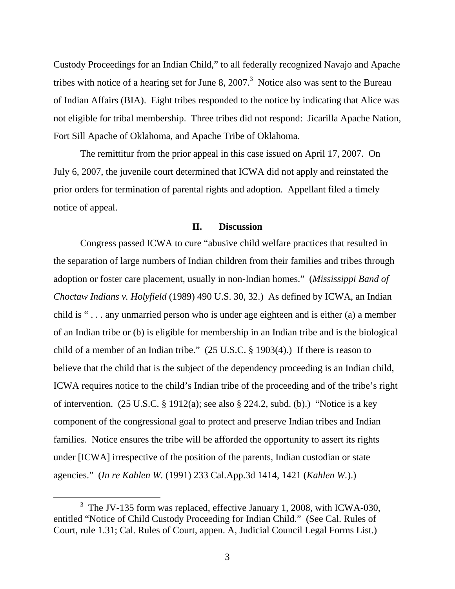Custody Proceedings for an Indian Child," to all federally recognized Navajo and Apache tribes with notice of a hearing set for June 8, 2007.<sup>3</sup> Notice also was sent to the Bureau of Indian Affairs (BIA). Eight tribes responded to the notice by indicating that Alice was not eligible for tribal membership. Three tribes did not respond: Jicarilla Apache Nation, Fort Sill Apache of Oklahoma, and Apache Tribe of Oklahoma.

 The remittitur from the prior appeal in this case issued on April 17, 2007. On July 6, 2007, the juvenile court determined that ICWA did not apply and reinstated the prior orders for termination of parental rights and adoption. Appellant filed a timely notice of appeal.

#### **II. Discussion**

Congress passed ICWA to cure "abusive child welfare practices that resulted in the separation of large numbers of Indian children from their families and tribes through adoption or foster care placement, usually in non-Indian homes." (*Mississippi Band of Choctaw Indians v. Holyfield* (1989) 490 U.S. 30, 32.) As defined by ICWA, an Indian child is " . . . any unmarried person who is under age eighteen and is either (a) a member of an Indian tribe or (b) is eligible for membership in an Indian tribe and is the biological child of a member of an Indian tribe." (25 U.S.C. § 1903(4).) If there is reason to believe that the child that is the subject of the dependency proceeding is an Indian child, ICWA requires notice to the child's Indian tribe of the proceeding and of the tribe's right of intervention. (25 U.S.C. § 1912(a); see also § 224.2, subd. (b).) "Notice is a key component of the congressional goal to protect and preserve Indian tribes and Indian families. Notice ensures the tribe will be afforded the opportunity to assert its rights under [ICWA] irrespective of the position of the parents, Indian custodian or state agencies." (*In re Kahlen W.* (1991) 233 Cal.App.3d 1414, 1421 (*Kahlen W.*).)

 $\frac{1}{3}$ <sup>3</sup> The JV-135 form was replaced, effective January 1, 2008, with ICWA-030, entitled "Notice of Child Custody Proceeding for Indian Child." (See Cal. Rules of Court, rule 1.31; Cal. Rules of Court, appen. A, Judicial Council Legal Forms List.)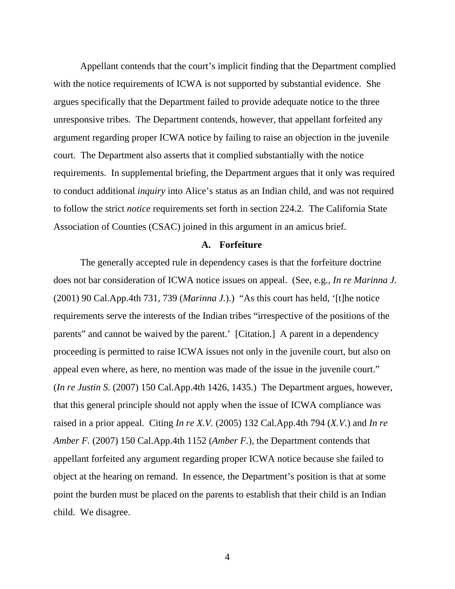Appellant contends that the court's implicit finding that the Department complied with the notice requirements of ICWA is not supported by substantial evidence. She argues specifically that the Department failed to provide adequate notice to the three unresponsive tribes. The Department contends, however, that appellant forfeited any argument regarding proper ICWA notice by failing to raise an objection in the juvenile court. The Department also asserts that it complied substantially with the notice requirements. In supplemental briefing, the Department argues that it only was required to conduct additional *inquiry* into Alice's status as an Indian child, and was not required to follow the strict *notice* requirements set forth in section 224.2. The California State Association of Counties (CSAC) joined in this argument in an amicus brief.

#### **A. Forfeiture**

 The generally accepted rule in dependency cases is that the forfeiture doctrine does not bar consideration of ICWA notice issues on appeal. (See, e.g., *In re Marinna J.*  (2001) 90 Cal.App.4th 731, 739 (*Marinna J.*).) "As this court has held, '[t]he notice requirements serve the interests of the Indian tribes "irrespective of the positions of the parents" and cannot be waived by the parent.' [Citation.] A parent in a dependency proceeding is permitted to raise ICWA issues not only in the juvenile court, but also on appeal even where, as here, no mention was made of the issue in the juvenile court." (*In re Justin S.* (2007) 150 Cal.App.4th 1426, 1435.) The Department argues, however, that this general principle should not apply when the issue of ICWA compliance was raised in a prior appeal. Citing *In re X.V.* (2005) 132 Cal.App.4th 794 (*X.V.*) and *In re Amber F.* (2007) 150 Cal.App.4th 1152 (*Amber F.*), the Department contends that appellant forfeited any argument regarding proper ICWA notice because she failed to object at the hearing on remand. In essence, the Department's position is that at some point the burden must be placed on the parents to establish that their child is an Indian child. We disagree.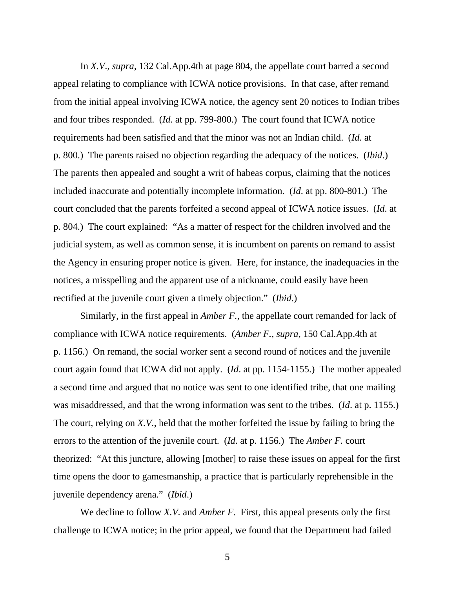In *X.V*., *supra*, 132 Cal.App.4th at page 804, the appellate court barred a second appeal relating to compliance with ICWA notice provisions. In that case, after remand from the initial appeal involving ICWA notice, the agency sent 20 notices to Indian tribes and four tribes responded. (*Id*. at pp. 799-800.) The court found that ICWA notice requirements had been satisfied and that the minor was not an Indian child. (*Id*. at p. 800.) The parents raised no objection regarding the adequacy of the notices. (*Ibid*.) The parents then appealed and sought a writ of habeas corpus, claiming that the notices included inaccurate and potentially incomplete information. (*Id*. at pp. 800-801.) The court concluded that the parents forfeited a second appeal of ICWA notice issues. (*Id*. at p. 804.) The court explained: "As a matter of respect for the children involved and the judicial system, as well as common sense, it is incumbent on parents on remand to assist the Agency in ensuring proper notice is given. Here, for instance, the inadequacies in the notices, a misspelling and the apparent use of a nickname, could easily have been rectified at the juvenile court given a timely objection." (*Ibid*.)

 Similarly, in the first appeal in *Amber F.*, the appellate court remanded for lack of compliance with ICWA notice requirements. (*Amber F.*, *supra*, 150 Cal.App.4th at p. 1156.) On remand, the social worker sent a second round of notices and the juvenile court again found that ICWA did not apply. (*Id*. at pp. 1154-1155.) The mother appealed a second time and argued that no notice was sent to one identified tribe, that one mailing was misaddressed, and that the wrong information was sent to the tribes. (*Id*. at p. 1155.) The court, relying on *X.V.*, held that the mother forfeited the issue by failing to bring the errors to the attention of the juvenile court. (*Id*. at p. 1156.) The *Amber F.* court theorized: "At this juncture, allowing [mother] to raise these issues on appeal for the first time opens the door to gamesmanship, a practice that is particularly reprehensible in the juvenile dependency arena." (*Ibid*.)

 We decline to follow *X.V.* and *Amber F.* First, this appeal presents only the first challenge to ICWA notice; in the prior appeal, we found that the Department had failed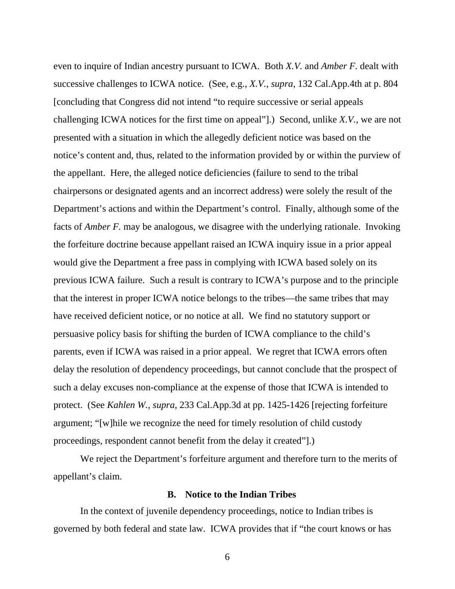even to inquire of Indian ancestry pursuant to ICWA. Both *X.V.* and *Amber F.* dealt with successive challenges to ICWA notice. (See, e.g., *X.V.*, *supra*, 132 Cal.App.4th at p. 804 [concluding that Congress did not intend "to require successive or serial appeals challenging ICWA notices for the first time on appeal"].) Second, unlike *X.V.*, we are not presented with a situation in which the allegedly deficient notice was based on the notice's content and, thus, related to the information provided by or within the purview of the appellant. Here, the alleged notice deficiencies (failure to send to the tribal chairpersons or designated agents and an incorrect address) were solely the result of the Department's actions and within the Department's control. Finally, although some of the facts of *Amber F.* may be analogous, we disagree with the underlying rationale. Invoking the forfeiture doctrine because appellant raised an ICWA inquiry issue in a prior appeal would give the Department a free pass in complying with ICWA based solely on its previous ICWA failure. Such a result is contrary to ICWA's purpose and to the principle that the interest in proper ICWA notice belongs to the tribes—the same tribes that may have received deficient notice, or no notice at all. We find no statutory support or persuasive policy basis for shifting the burden of ICWA compliance to the child's parents, even if ICWA was raised in a prior appeal. We regret that ICWA errors often delay the resolution of dependency proceedings, but cannot conclude that the prospect of such a delay excuses non-compliance at the expense of those that ICWA is intended to protect. (See *Kahlen W.*, *supra*, 233 Cal.App.3d at pp. 1425-1426 [rejecting forfeiture argument; "[w]hile we recognize the need for timely resolution of child custody proceedings, respondent cannot benefit from the delay it created"].)

 We reject the Department's forfeiture argument and therefore turn to the merits of appellant's claim.

### **B. Notice to the Indian Tribes**

In the context of juvenile dependency proceedings, notice to Indian tribes is governed by both federal and state law. ICWA provides that if "the court knows or has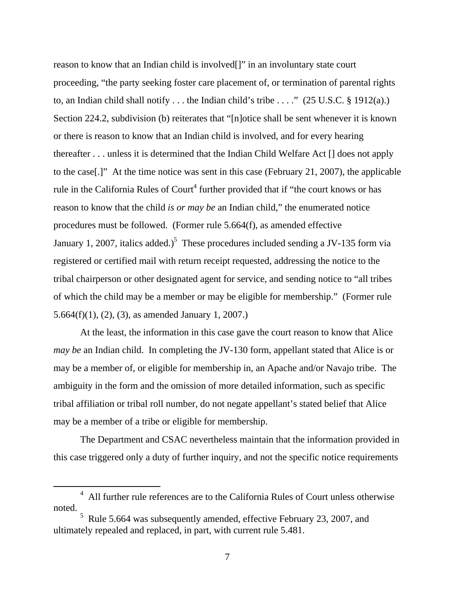reason to know that an Indian child is involved[]" in an involuntary state court proceeding, "the party seeking foster care placement of, or termination of parental rights to, an Indian child shall notify ... the Indian child's tribe ...."  $(25 \text{ U.S.C.} \S 1912(a))$ Section 224.2, subdivision (b) reiterates that "[n]otice shall be sent whenever it is known or there is reason to know that an Indian child is involved, and for every hearing thereafter . . . unless it is determined that the Indian Child Welfare Act [] does not apply to the case[.]" At the time notice was sent in this case (February 21, 2007), the applicable rule in the California Rules of Court<sup>4</sup> further provided that if "the court knows or has reason to know that the child *is or may be* an Indian child," the enumerated notice procedures must be followed. (Former rule 5.664(f), as amended effective January 1, 2007, italics added.)<sup>5</sup> These procedures included sending a JV-135 form via registered or certified mail with return receipt requested, addressing the notice to the tribal chairperson or other designated agent for service, and sending notice to "all tribes of which the child may be a member or may be eligible for membership." (Former rule 5.664(f)(1), (2), (3), as amended January 1, 2007.)

At the least, the information in this case gave the court reason to know that Alice *may be* an Indian child. In completing the JV-130 form, appellant stated that Alice is or may be a member of, or eligible for membership in, an Apache and/or Navajo tribe. The ambiguity in the form and the omission of more detailed information, such as specific tribal affiliation or tribal roll number, do not negate appellant's stated belief that Alice may be a member of a tribe or eligible for membership.

The Department and CSAC nevertheless maintain that the information provided in this case triggered only a duty of further inquiry, and not the specific notice requirements

 $\frac{1}{4}$  All further rule references are to the California Rules of Court unless otherwise noted.

<sup>&</sup>lt;sup>5</sup> Rule 5.664 was subsequently amended, effective February 23, 2007, and ultimately repealed and replaced, in part, with current rule 5.481.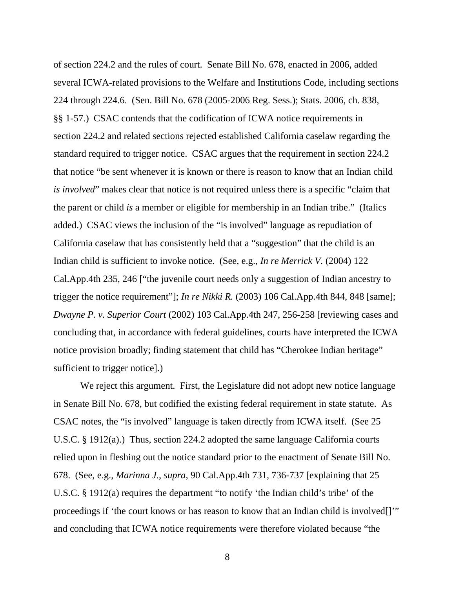of section 224.2 and the rules of court. Senate Bill No. 678, enacted in 2006, added several ICWA-related provisions to the Welfare and Institutions Code, including sections 224 through 224.6. (Sen. Bill No. 678 (2005-2006 Reg. Sess.); Stats. 2006, ch. 838, §§ 1-57.) CSAC contends that the codification of ICWA notice requirements in section 224.2 and related sections rejected established California caselaw regarding the standard required to trigger notice. CSAC argues that the requirement in section 224.2 that notice "be sent whenever it is known or there is reason to know that an Indian child *is involved*" makes clear that notice is not required unless there is a specific "claim that the parent or child *is* a member or eligible for membership in an Indian tribe." (Italics added.) CSAC views the inclusion of the "is involved" language as repudiation of California caselaw that has consistently held that a "suggestion" that the child is an Indian child is sufficient to invoke notice. (See, e.g., *In re Merrick V.* (2004) 122 Cal.App.4th 235, 246 ["the juvenile court needs only a suggestion of Indian ancestry to trigger the notice requirement"]; *In re Nikki R.* (2003) 106 Cal.App.4th 844, 848 [same]; *Dwayne P. v. Superior Court* (2002) 103 Cal.App.4th 247, 256-258 [reviewing cases and concluding that, in accordance with federal guidelines, courts have interpreted the ICWA notice provision broadly; finding statement that child has "Cherokee Indian heritage" sufficient to trigger notice].)

We reject this argument. First, the Legislature did not adopt new notice language in Senate Bill No. 678, but codified the existing federal requirement in state statute. As CSAC notes, the "is involved" language is taken directly from ICWA itself. (See 25 U.S.C. § 1912(a).) Thus, section 224.2 adopted the same language California courts relied upon in fleshing out the notice standard prior to the enactment of Senate Bill No. 678. (See, e.g., *Marinna J.*, *supra*, 90 Cal.App.4th 731, 736-737 [explaining that 25 U.S.C. § 1912(a) requires the department "to notify 'the Indian child's tribe' of the proceedings if 'the court knows or has reason to know that an Indian child is involved[]" and concluding that ICWA notice requirements were therefore violated because "the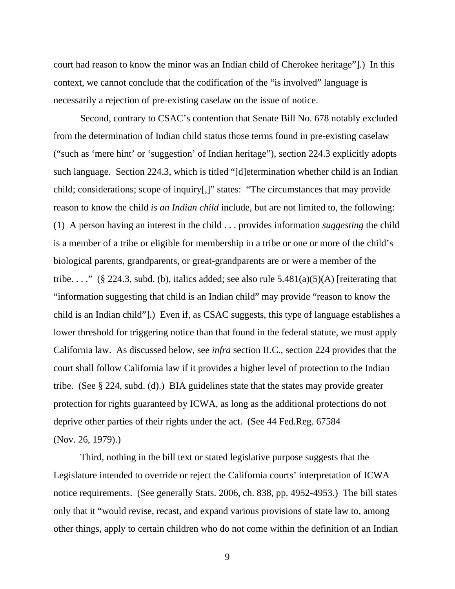court had reason to know the minor was an Indian child of Cherokee heritage"].) In this context, we cannot conclude that the codification of the "is involved" language is necessarily a rejection of pre-existing caselaw on the issue of notice.

Second, contrary to CSAC's contention that Senate Bill No. 678 notably excluded from the determination of Indian child status those terms found in pre-existing caselaw ("such as 'mere hint' or 'suggestion' of Indian heritage"), section 224.3 explicitly adopts such language. Section 224.3, which is titled "[d]etermination whether child is an Indian child; considerations; scope of inquiry[,]" states: "The circumstances that may provide reason to know the child *is an Indian child* include, but are not limited to, the following: (1) A person having an interest in the child . . . provides information *suggesting* the child is a member of a tribe or eligible for membership in a tribe or one or more of the child's biological parents, grandparents, or great-grandparents are or were a member of the tribe...." (§ 224.3, subd. (b), italics added; see also rule  $5.481(a)(5)(A)$  [reiterating that "information suggesting that child is an Indian child" may provide "reason to know the child is an Indian child"].) Even if, as CSAC suggests, this type of language establishes a lower threshold for triggering notice than that found in the federal statute, we must apply California law. As discussed below, see *infra* section II.C., section 224 provides that the court shall follow California law if it provides a higher level of protection to the Indian tribe. (See § 224, subd. (d).) BIA guidelines state that the states may provide greater protection for rights guaranteed by ICWA, as long as the additional protections do not deprive other parties of their rights under the act. (See 44 Fed.Reg. 67584 (Nov. 26, 1979).)

Third, nothing in the bill text or stated legislative purpose suggests that the Legislature intended to override or reject the California courts' interpretation of ICWA notice requirements. (See generally Stats. 2006, ch. 838, pp. 4952-4953.) The bill states only that it "would revise, recast, and expand various provisions of state law to, among other things, apply to certain children who do not come within the definition of an Indian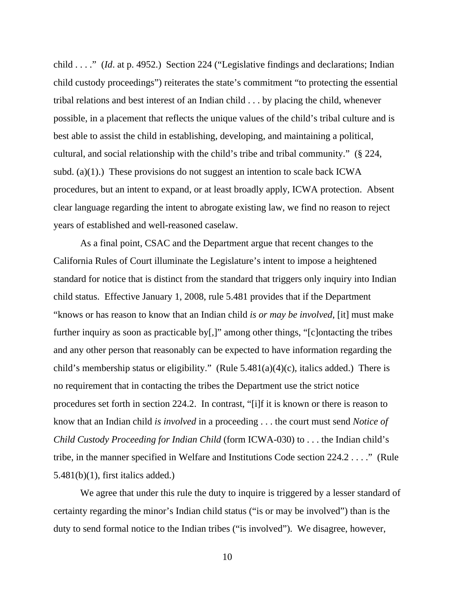child . . . ." (*Id*. at p. 4952.) Section 224 ("Legislative findings and declarations; Indian child custody proceedings") reiterates the state's commitment "to protecting the essential tribal relations and best interest of an Indian child . . . by placing the child, whenever possible, in a placement that reflects the unique values of the child's tribal culture and is best able to assist the child in establishing, developing, and maintaining a political, cultural, and social relationship with the child's tribe and tribal community." (§ 224, subd. (a)(1).) These provisions do not suggest an intention to scale back ICWA procedures, but an intent to expand, or at least broadly apply, ICWA protection. Absent clear language regarding the intent to abrogate existing law, we find no reason to reject years of established and well-reasoned caselaw.

As a final point, CSAC and the Department argue that recent changes to the California Rules of Court illuminate the Legislature's intent to impose a heightened standard for notice that is distinct from the standard that triggers only inquiry into Indian child status. Effective January 1, 2008, rule 5.481 provides that if the Department "knows or has reason to know that an Indian child *is or may be involved*, [it] must make further inquiry as soon as practicable by[,]" among other things, "[c]ontacting the tribes and any other person that reasonably can be expected to have information regarding the child's membership status or eligibility." (Rule  $5.481(a)(4)(c)$ , italics added.) There is no requirement that in contacting the tribes the Department use the strict notice procedures set forth in section 224.2. In contrast, "[i]f it is known or there is reason to know that an Indian child *is involved* in a proceeding . . . the court must send *Notice of Child Custody Proceeding for Indian Child* (form ICWA-030) to . . . the Indian child's tribe, in the manner specified in Welfare and Institutions Code section 224.2 . . . ." (Rule  $5.481(b)(1)$ , first italics added.)

We agree that under this rule the duty to inquire is triggered by a lesser standard of certainty regarding the minor's Indian child status ("is or may be involved") than is the duty to send formal notice to the Indian tribes ("is involved"). We disagree, however,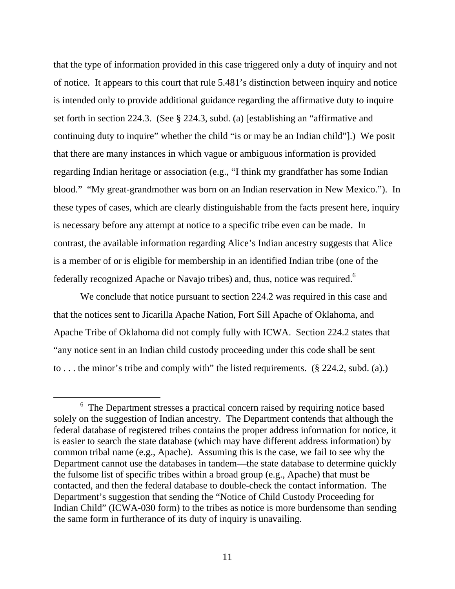that the type of information provided in this case triggered only a duty of inquiry and not of notice. It appears to this court that rule 5.481's distinction between inquiry and notice is intended only to provide additional guidance regarding the affirmative duty to inquire set forth in section 224.3. (See § 224.3, subd. (a) [establishing an "affirmative and continuing duty to inquire" whether the child "is or may be an Indian child"].) We posit that there are many instances in which vague or ambiguous information is provided regarding Indian heritage or association (e.g., "I think my grandfather has some Indian blood." "My great-grandmother was born on an Indian reservation in New Mexico."). In these types of cases, which are clearly distinguishable from the facts present here, inquiry is necessary before any attempt at notice to a specific tribe even can be made. In contrast, the available information regarding Alice's Indian ancestry suggests that Alice is a member of or is eligible for membership in an identified Indian tribe (one of the federally recognized Apache or Navajo tribes) and, thus, notice was required.<sup>6</sup>

We conclude that notice pursuant to section 224.2 was required in this case and that the notices sent to Jicarilla Apache Nation, Fort Sill Apache of Oklahoma, and Apache Tribe of Oklahoma did not comply fully with ICWA. Section 224.2 states that "any notice sent in an Indian child custody proceeding under this code shall be sent to . . . the minor's tribe and comply with" the listed requirements. (§ 224.2, subd. (a).)

 $\begin{array}{c|c}\n\hline\n\end{array}$  $6\text{ }$  The Department stresses a practical concern raised by requiring notice based solely on the suggestion of Indian ancestry. The Department contends that although the federal database of registered tribes contains the proper address information for notice, it is easier to search the state database (which may have different address information) by common tribal name (e.g., Apache). Assuming this is the case, we fail to see why the Department cannot use the databases in tandem—the state database to determine quickly the fulsome list of specific tribes within a broad group (e.g., Apache) that must be contacted, and then the federal database to double-check the contact information. The Department's suggestion that sending the "Notice of Child Custody Proceeding for Indian Child" (ICWA-030 form) to the tribes as notice is more burdensome than sending the same form in furtherance of its duty of inquiry is unavailing.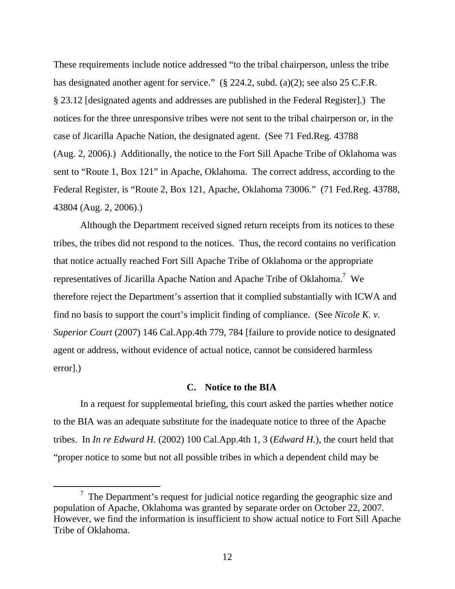These requirements include notice addressed "to the tribal chairperson, unless the tribe has designated another agent for service." (§ 224.2, subd. (a)(2); see also 25 C.F.R. § 23.12 [designated agents and addresses are published in the Federal Register].) The notices for the three unresponsive tribes were not sent to the tribal chairperson or, in the case of Jicarilla Apache Nation, the designated agent. (See 71 Fed.Reg. 43788 (Aug. 2, 2006).) Additionally, the notice to the Fort Sill Apache Tribe of Oklahoma was sent to "Route 1, Box 121" in Apache, Oklahoma. The correct address, according to the Federal Register, is "Route 2, Box 121, Apache, Oklahoma 73006." (71 Fed.Reg. 43788, 43804 (Aug. 2, 2006).)

Although the Department received signed return receipts from its notices to these tribes, the tribes did not respond to the notices. Thus, the record contains no verification that notice actually reached Fort Sill Apache Tribe of Oklahoma or the appropriate representatives of Jicarilla Apache Nation and Apache Tribe of Oklahoma.<sup>7</sup> We therefore reject the Department's assertion that it complied substantially with ICWA and find no basis to support the court's implicit finding of compliance. (See *Nicole K. v. Superior Court* (2007) 146 Cal.App.4th 779, 784 [failure to provide notice to designated agent or address, without evidence of actual notice, cannot be considered harmless error].)

#### **C. Notice to the BIA**

In a request for supplemental briefing, this court asked the parties whether notice to the BIA was an adequate substitute for the inadequate notice to three of the Apache tribes. In *In re Edward H.* (2002) 100 Cal.App.4th 1, 3 (*Edward H.*), the court held that "proper notice to some but not all possible tribes in which a dependent child may be

 <sup>7</sup>  $\frac{7}{1}$  The Department's request for judicial notice regarding the geographic size and population of Apache, Oklahoma was granted by separate order on October 22, 2007. However, we find the information is insufficient to show actual notice to Fort Sill Apache Tribe of Oklahoma.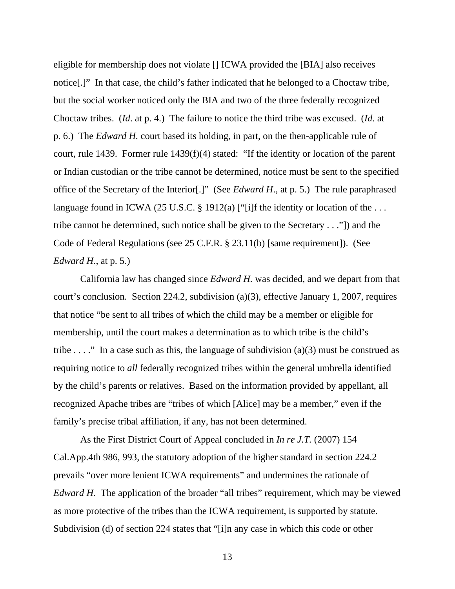eligible for membership does not violate [] ICWA provided the [BIA] also receives notice[.]" In that case, the child's father indicated that he belonged to a Choctaw tribe, but the social worker noticed only the BIA and two of the three federally recognized Choctaw tribes. (*Id*. at p. 4.) The failure to notice the third tribe was excused. (*Id*. at p. 6.) The *Edward H.* court based its holding, in part, on the then-applicable rule of court, rule 1439. Former rule 1439(f)(4) stated: "If the identity or location of the parent or Indian custodian or the tribe cannot be determined, notice must be sent to the specified office of the Secretary of the Interior[.]" (See *Edward H*., at p. 5.) The rule paraphrased language found in ICWA (25 U.S.C. § 1912(a) ["[i]f the identity or location of the ... tribe cannot be determined, such notice shall be given to the Secretary . . ."]) and the Code of Federal Regulations (see 25 C.F.R. § 23.11(b) [same requirement]). (See *Edward H.*, at p. 5.)

California law has changed since *Edward H.* was decided, and we depart from that court's conclusion. Section 224.2, subdivision (a)(3), effective January 1, 2007, requires that notice "be sent to all tribes of which the child may be a member or eligible for membership, until the court makes a determination as to which tribe is the child's tribe . . . ." In a case such as this, the language of subdivision (a)(3) must be construed as requiring notice to *all* federally recognized tribes within the general umbrella identified by the child's parents or relatives. Based on the information provided by appellant, all recognized Apache tribes are "tribes of which [Alice] may be a member," even if the family's precise tribal affiliation, if any, has not been determined.

As the First District Court of Appeal concluded in *In re J.T.* (2007) 154 Cal.App.4th 986, 993, the statutory adoption of the higher standard in section 224.2 prevails "over more lenient ICWA requirements" and undermines the rationale of *Edward H.* The application of the broader "all tribes" requirement, which may be viewed as more protective of the tribes than the ICWA requirement, is supported by statute. Subdivision (d) of section 224 states that "[i]n any case in which this code or other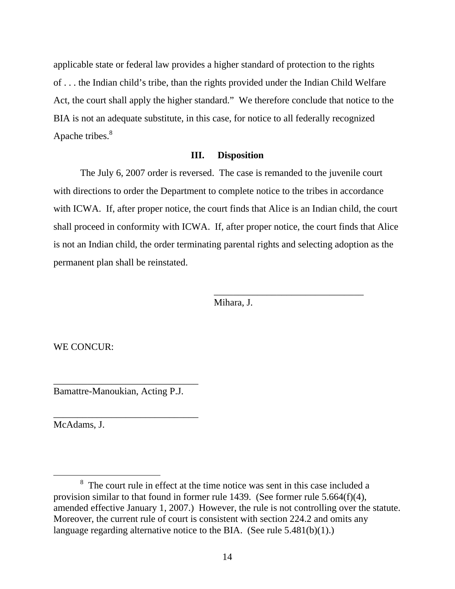applicable state or federal law provides a higher standard of protection to the rights of . . . the Indian child's tribe, than the rights provided under the Indian Child Welfare Act, the court shall apply the higher standard." We therefore conclude that notice to the BIA is not an adequate substitute, in this case, for notice to all federally recognized Apache tribes.<sup>8</sup>

#### **III. Disposition**

 The July 6, 2007 order is reversed. The case is remanded to the juvenile court with directions to order the Department to complete notice to the tribes in accordance with ICWA. If, after proper notice, the court finds that Alice is an Indian child, the court shall proceed in conformity with ICWA. If, after proper notice, the court finds that Alice is not an Indian child, the order terminating parental rights and selecting adoption as the permanent plan shall be reinstated.

Mihara, J.

 $\overline{\phantom{a}}$  , and the contract of the contract of the contract of the contract of the contract of the contract of the contract of the contract of the contract of the contract of the contract of the contract of the contrac

WE CONCUR:

Bamattre-Manoukian, Acting P.J.

\_\_\_\_\_\_\_\_\_\_\_\_\_\_\_\_\_\_\_\_\_\_\_\_\_\_\_\_\_\_

\_\_\_\_\_\_\_\_\_\_\_\_\_\_\_\_\_\_\_\_\_\_\_\_\_\_\_\_\_\_

McAdams, J.

 <sup>8</sup> <sup>8</sup> The court rule in effect at the time notice was sent in this case included a provision similar to that found in former rule 1439. (See former rule 5.664(f)(4), amended effective January 1, 2007.) However, the rule is not controlling over the statute. Moreover, the current rule of court is consistent with section 224.2 and omits any language regarding alternative notice to the BIA. (See rule 5.481(b)(1).)